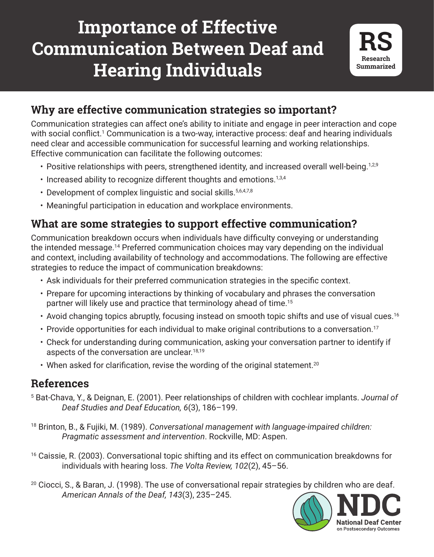## **Importance of Effective Communication Between Deaf and Hearing Individuals**



## **Why are effective communication strategies so important?**

Communication strategies can affect one's ability to initiate and engage in peer interaction and cope with social conflict.<sup>1</sup> Communication is a two-way, interactive process: deaf and hearing individuals need clear and accessible communication for successful learning and working relationships. Effective communication can facilitate the following outcomes:

- Positive relationships with peers, strengthened identity, and increased overall well-being.<sup>1,2,9</sup>
- $\cdot$  Increased ability to recognize different thoughts and emotions.<sup>1,3,4</sup>
- Development of complex linguistic and social skills. 5,6,4,7,8
- Meaningful participation in education and workplace environments.

## **What are some strategies to support effective communication?**

Communication breakdown occurs when individuals have difficulty conveying or understanding the intended message.14 Preferred communication choices may vary depending on the individual and context, including availability of technology and accommodations. The following are effective strategies to reduce the impact of communication breakdowns:

- Ask individuals for their preferred communication strategies in the specific context.
- Prepare for upcoming interactions by thinking of vocabulary and phrases the conversation partner will likely use and practice that terminology ahead of time.<sup>15</sup>
- Avoid changing topics abruptly, focusing instead on smooth topic shifts and use of visual cues.<sup>16</sup>
- Provide opportunities for each individual to make original contributions to a conversation.<sup>17</sup>
- Check for understanding during communication, asking your conversation partner to identify if aspects of the conversation are unclear.<sup>18,19</sup>
- When asked for clarification, revise the wording of the original statement.<sup>20</sup>

## **References**

- 5 Bat-Chava, Y., & Deignan, E. (2001). Peer relationships of children with cochlear implants. *Journal of Deaf Studies and Deaf Education, 6*(3), 186–199.
- <sup>18</sup> Brinton, B., & Fujiki, M. (1989). *Conversational management with language-impaired children: Pragmatic assessment and intervention*. Rockville, MD: Aspen.
- <sup>16</sup> Caissie, R. (2003). Conversational topic shifting and its effect on communication breakdowns for individuals with hearing loss. *The Volta Review, 102*(2), 45–56.
- 245.<br>**NDC**  $20$  Ciocci, S., & Baran, J. (1998). The use of conversational repair strategies by children who are deaf. *American Annals of the Deaf, 143*(3), 235–245.